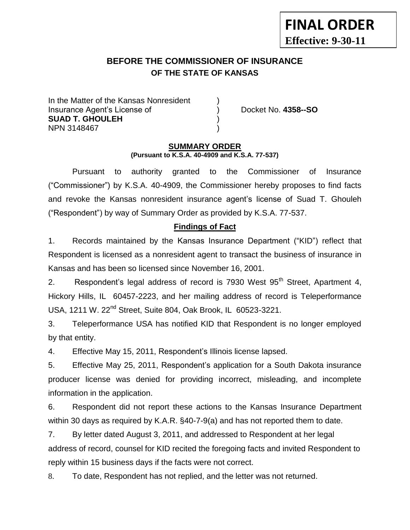# **BEFORE THE COMMISSIONER OF INSURANCE OF THE STATE OF KANSAS**

In the Matter of the Kansas Nonresident Insurance Agent's License of ) Docket No. **4358--SO SUAD T. GHOULEH** ) NPN 3148467 )

**FINAL ORDER**

**Effective: 9-30-11**

#### **SUMMARY ORDER (Pursuant to K.S.A. 40-4909 and K.S.A. 77-537)**

Pursuant to authority granted to the Commissioner of Insurance ("Commissioner") by K.S.A. 40-4909, the Commissioner hereby proposes to find facts and revoke the Kansas nonresident insurance agent's license of Suad T. Ghouleh ("Respondent") by way of Summary Order as provided by K.S.A. 77-537.

## **Findings of Fact**

1. Records maintained by the Kansas Insurance Department ("KID") reflect that Respondent is licensed as a nonresident agent to transact the business of insurance in Kansas and has been so licensed since November 16, 2001.

2. Respondent's legal address of record is 7930 West 95<sup>th</sup> Street, Apartment 4, Hickory Hills, IL 60457-2223, and her mailing address of record is Teleperformance USA, 1211 W. 22nd Street, Suite 804, Oak Brook, IL 60523-3221.

3. Teleperformance USA has notified KID that Respondent is no longer employed by that entity.

4. Effective May 15, 2011, Respondent's Illinois license lapsed.

5. Effective May 25, 2011, Respondent's application for a South Dakota insurance producer license was denied for providing incorrect, misleading, and incomplete information in the application.

6. Respondent did not report these actions to the Kansas Insurance Department within 30 days as required by K.A.R. §40-7-9(a) and has not reported them to date.

7. By letter dated August 3, 2011, and addressed to Respondent at her legal address of record, counsel for KID recited the foregoing facts and invited Respondent to reply within 15 business days if the facts were not correct.

8. To date, Respondent has not replied, and the letter was not returned.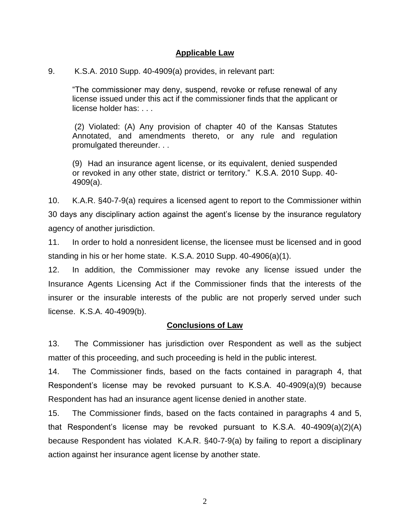### **Applicable Law**

#### 9. K.S.A. 2010 Supp. 40-4909(a) provides, in relevant part:

"The commissioner may deny, suspend, revoke or refuse renewal of any license issued under this act if the commissioner finds that the applicant or license holder has: . . .

(2) Violated: (A) Any provision of chapter 40 of the Kansas Statutes Annotated, and amendments thereto, or any rule and regulation promulgated thereunder. . .

(9) Had an insurance agent license, or its equivalent, denied suspended or revoked in any other state, district or territory." K.S.A. 2010 Supp. 40- 4909(a).

10. K.A.R. §40-7-9(a) requires a licensed agent to report to the Commissioner within 30 days any disciplinary action against the agent's license by the insurance regulatory agency of another jurisdiction.

11. In order to hold a nonresident license, the licensee must be licensed and in good standing in his or her home state. K.S.A. 2010 Supp. 40-4906(a)(1).

12. In addition, the Commissioner may revoke any license issued under the Insurance Agents Licensing Act if the Commissioner finds that the interests of the insurer or the insurable interests of the public are not properly served under such license. K.S.A. 40-4909(b).

## **Conclusions of Law**

13. The Commissioner has jurisdiction over Respondent as well as the subject matter of this proceeding, and such proceeding is held in the public interest.

14. The Commissioner finds, based on the facts contained in paragraph 4, that Respondent's license may be revoked pursuant to K.S.A. 40-4909(a)(9) because Respondent has had an insurance agent license denied in another state.

15. The Commissioner finds, based on the facts contained in paragraphs 4 and 5, that Respondent's license may be revoked pursuant to K.S.A. 40-4909(a)(2)(A) because Respondent has violated K.A.R. §40-7-9(a) by failing to report a disciplinary action against her insurance agent license by another state.

2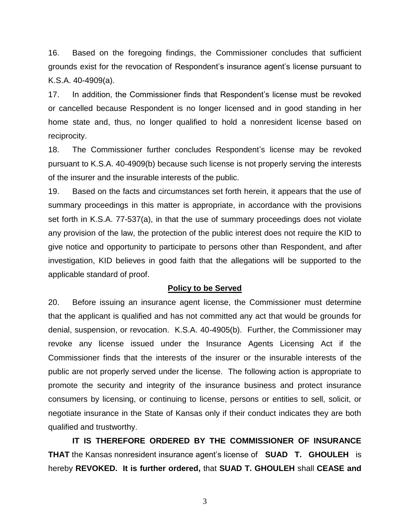16. Based on the foregoing findings, the Commissioner concludes that sufficient grounds exist for the revocation of Respondent's insurance agent's license pursuant to K.S.A. 40-4909(a).

17. In addition, the Commissioner finds that Respondent's license must be revoked or cancelled because Respondent is no longer licensed and in good standing in her home state and, thus, no longer qualified to hold a nonresident license based on reciprocity.

18. The Commissioner further concludes Respondent's license may be revoked pursuant to K.S.A. 40-4909(b) because such license is not properly serving the interests of the insurer and the insurable interests of the public.

19. Based on the facts and circumstances set forth herein, it appears that the use of summary proceedings in this matter is appropriate, in accordance with the provisions set forth in K.S.A. 77-537(a), in that the use of summary proceedings does not violate any provision of the law, the protection of the public interest does not require the KID to give notice and opportunity to participate to persons other than Respondent, and after investigation, KID believes in good faith that the allegations will be supported to the applicable standard of proof.

#### **Policy to be Served**

20. Before issuing an insurance agent license, the Commissioner must determine that the applicant is qualified and has not committed any act that would be grounds for denial, suspension, or revocation. K.S.A. 40-4905(b). Further, the Commissioner may revoke any license issued under the Insurance Agents Licensing Act if the Commissioner finds that the interests of the insurer or the insurable interests of the public are not properly served under the license. The following action is appropriate to promote the security and integrity of the insurance business and protect insurance consumers by licensing, or continuing to license, persons or entities to sell, solicit, or negotiate insurance in the State of Kansas only if their conduct indicates they are both qualified and trustworthy.

**IT IS THEREFORE ORDERED BY THE COMMISSIONER OF INSURANCE THAT** the Kansas nonresident insurance agent's license of **SUAD T. GHOULEH** is hereby **REVOKED. It is further ordered,** that **SUAD T. GHOULEH** shall **CEASE and** 

3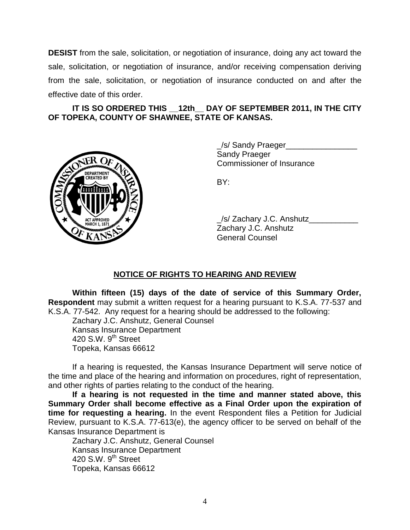**DESIST** from the sale, solicitation, or negotiation of insurance, doing any act toward the sale, solicitation, or negotiation of insurance, and/or receiving compensation deriving from the sale, solicitation, or negotiation of insurance conducted on and after the effective date of this order.

## **IT IS SO ORDERED THIS \_\_12th\_\_ DAY OF SEPTEMBER 2011, IN THE CITY OF TOPEKA, COUNTY OF SHAWNEE, STATE OF KANSAS.**



\_/s/ Sandy Praeger\_\_\_\_\_\_\_\_\_\_\_\_\_\_\_\_ Sandy Praeger Commissioner of Insurance

BY:

\_/s/ Zachary J.C. Anshutz\_\_\_\_\_\_\_\_\_\_\_ Zachary J.C. Anshutz General Counsel

# **NOTICE OF RIGHTS TO HEARING AND REVIEW**

**Within fifteen (15) days of the date of service of this Summary Order, Respondent** may submit a written request for a hearing pursuant to K.S.A. 77-537 and K.S.A. 77-542. Any request for a hearing should be addressed to the following:

Zachary J.C. Anshutz, General Counsel Kansas Insurance Department 420 S.W.  $9<sup>th</sup>$  Street Topeka, Kansas 66612

If a hearing is requested, the Kansas Insurance Department will serve notice of the time and place of the hearing and information on procedures, right of representation, and other rights of parties relating to the conduct of the hearing.

**If a hearing is not requested in the time and manner stated above, this Summary Order shall become effective as a Final Order upon the expiration of time for requesting a hearing.** In the event Respondent files a Petition for Judicial Review, pursuant to K.S.A. 77-613(e), the agency officer to be served on behalf of the Kansas Insurance Department is

Zachary J.C. Anshutz, General Counsel Kansas Insurance Department 420 S.W.  $9<sup>th</sup>$  Street Topeka, Kansas 66612